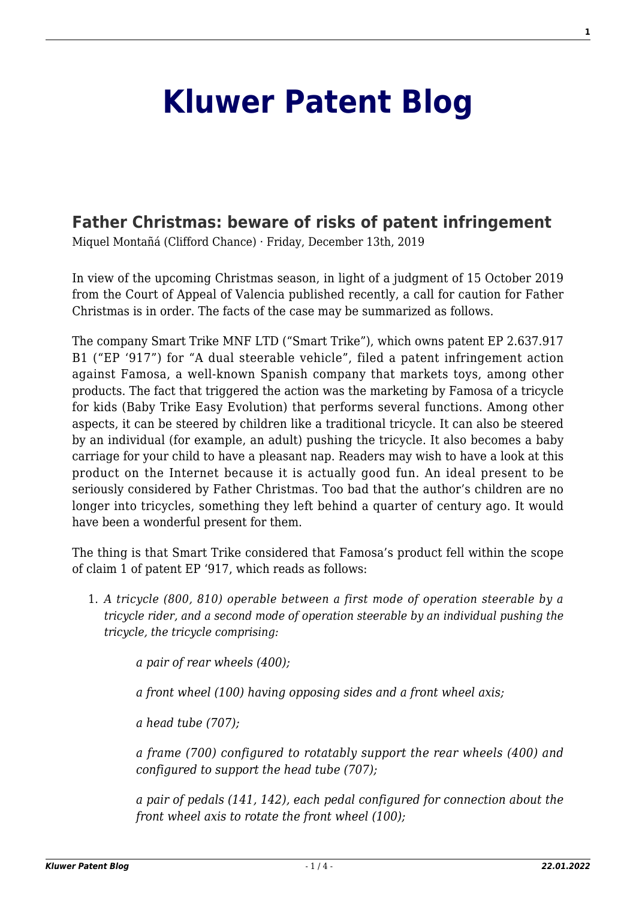## **[Kluwer Patent Blog](http://patentblog.kluweriplaw.com/)**

## **[Father Christmas: beware of risks of patent infringement](http://patentblog.kluweriplaw.com/2019/12/13/father-christmas-beware-of-risks-of-patent-infringement/)**

Miquel Montañá (Clifford Chance) · Friday, December 13th, 2019

In view of the upcoming Christmas season, in light of a judgment of 15 October 2019 from the Court of Appeal of Valencia published recently, a call for caution for Father Christmas is in order. The facts of the case may be summarized as follows.

The company Smart Trike MNF LTD ("Smart Trike"), which owns patent EP 2.637.917 B1 ("EP '917") for "A dual steerable vehicle", filed a patent infringement action against Famosa, a well-known Spanish company that markets toys, among other products. The fact that triggered the action was the marketing by Famosa of a tricycle for kids (Baby Trike Easy Evolution) that performs several functions. Among other aspects, it can be steered by children like a traditional tricycle. It can also be steered by an individual (for example, an adult) pushing the tricycle. It also becomes a baby carriage for your child to have a pleasant nap. Readers may wish to have a look at this product on the Internet because it is actually good fun. An ideal present to be seriously considered by Father Christmas. Too bad that the author's children are no longer into tricycles, something they left behind a quarter of century ago. It would have been a wonderful present for them.

The thing is that Smart Trike considered that Famosa's product fell within the scope of claim 1 of patent EP '917, which reads as follows:

1. *A tricycle (800, 810) operable between a first mode of operation steerable by a tricycle rider, and a second mode of operation steerable by an individual pushing the tricycle, the tricycle comprising:*

*a pair of rear wheels (400);*

*a front wheel (100) having opposing sides and a front wheel axis;*

*a head tube (707);*

*a frame (700) configured to rotatably support the rear wheels (400) and configured to support the head tube (707);*

*a pair of pedals (141, 142), each pedal configured for connection about the front wheel axis to rotate the front wheel (100);*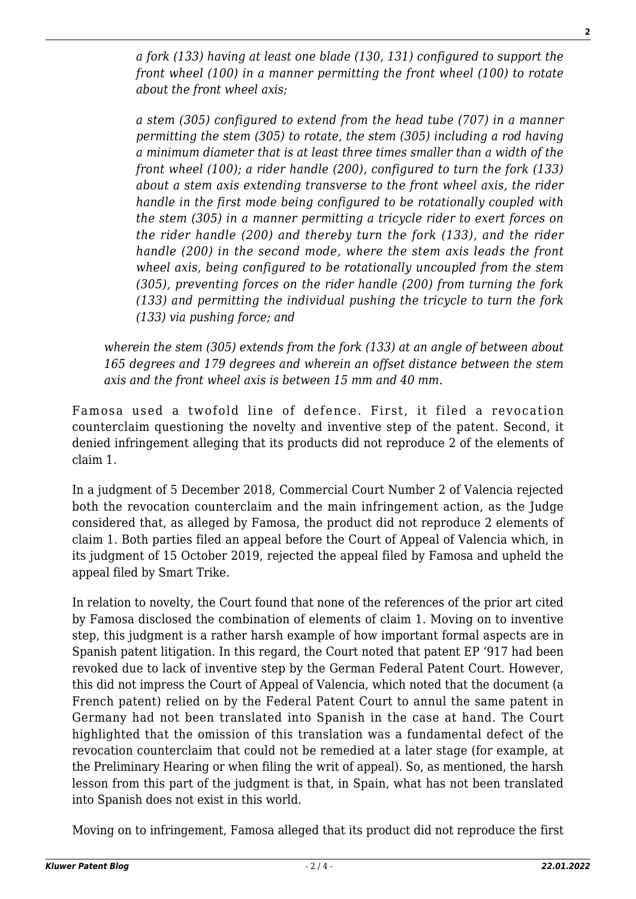*a fork (133) having at least one blade (130, 131) configured to support the front wheel (100) in a manner permitting the front wheel (100) to rotate about the front wheel axis;*

*a stem (305) configured to extend from the head tube (707) in a manner permitting the stem (305) to rotate, the stem (305) including a rod having a minimum diameter that is at least three times smaller than a width of the front wheel (100); a rider handle (200), configured to turn the fork (133) about a stem axis extending transverse to the front wheel axis, the rider handle in the first mode being configured to be rotationally coupled with the stem (305) in a manner permitting a tricycle rider to exert forces on the rider handle (200) and thereby turn the fork (133), and the rider handle (200) in the second mode, where the stem axis leads the front wheel axis, being configured to be rotationally uncoupled from the stem (305), preventing forces on the rider handle (200) from turning the fork (133) and permitting the individual pushing the tricycle to turn the fork (133) via pushing force; and*

*wherein the stem (305) extends from the fork (133) at an angle of between about 165 degrees and 179 degrees and wherein an offset distance between the stem axis and the front wheel axis is between 15 mm and 40 mm.*

Famosa used a twofold line of defence. First, it filed a revocation counterclaim questioning the novelty and inventive step of the patent. Second, it denied infringement alleging that its products did not reproduce 2 of the elements of claim 1.

In a judgment of 5 December 2018, Commercial Court Number 2 of Valencia rejected both the revocation counterclaim and the main infringement action, as the Judge considered that, as alleged by Famosa, the product did not reproduce 2 elements of claim 1. Both parties filed an appeal before the Court of Appeal of Valencia which, in its judgment of 15 October 2019, rejected the appeal filed by Famosa and upheld the appeal filed by Smart Trike.

In relation to novelty, the Court found that none of the references of the prior art cited by Famosa disclosed the combination of elements of claim 1. Moving on to inventive step, this judgment is a rather harsh example of how important formal aspects are in Spanish patent litigation. In this regard, the Court noted that patent EP '917 had been revoked due to lack of inventive step by the German Federal Patent Court. However, this did not impress the Court of Appeal of Valencia, which noted that the document (a French patent) relied on by the Federal Patent Court to annul the same patent in Germany had not been translated into Spanish in the case at hand. The Court highlighted that the omission of this translation was a fundamental defect of the revocation counterclaim that could not be remedied at a later stage (for example, at the Preliminary Hearing or when filing the writ of appeal). So, as mentioned, the harsh lesson from this part of the judgment is that, in Spain, what has not been translated into Spanish does not exist in this world.

Moving on to infringement, Famosa alleged that its product did not reproduce the first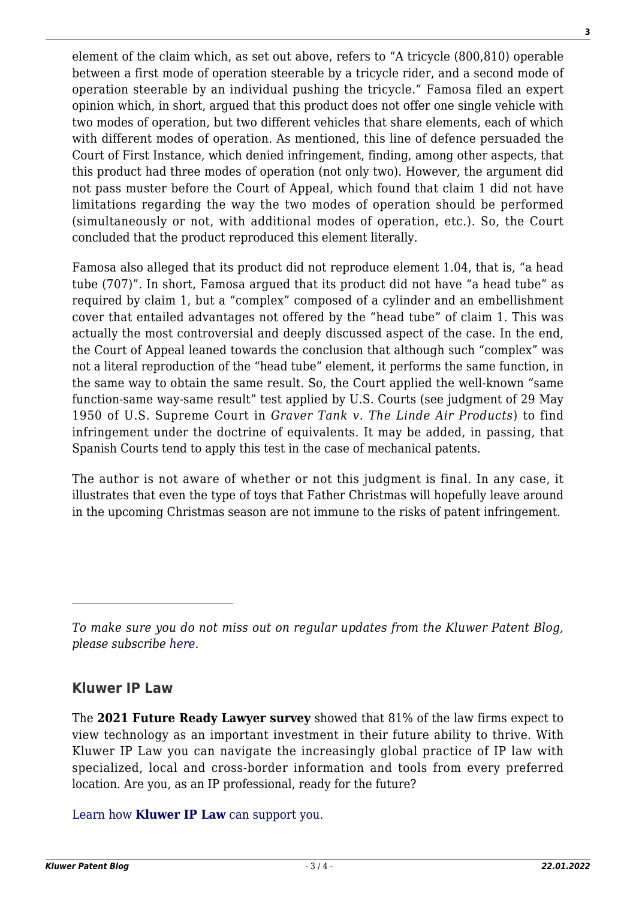element of the claim which, as set out above, refers to "A tricycle (800,810) operable between a first mode of operation steerable by a tricycle rider, and a second mode of operation steerable by an individual pushing the tricycle." Famosa filed an expert opinion which, in short, argued that this product does not offer one single vehicle with two modes of operation, but two different vehicles that share elements, each of which with different modes of operation. As mentioned, this line of defence persuaded the Court of First Instance, which denied infringement, finding, among other aspects, that this product had three modes of operation (not only two). However, the argument did not pass muster before the Court of Appeal, which found that claim 1 did not have limitations regarding the way the two modes of operation should be performed (simultaneously or not, with additional modes of operation, etc.). So, the Court concluded that the product reproduced this element literally.

Famosa also alleged that its product did not reproduce element 1.04, that is, "a head tube (707)". In short, Famosa argued that its product did not have "a head tube" as required by claim 1, but a "complex" composed of a cylinder and an embellishment cover that entailed advantages not offered by the "head tube" of claim 1. This was actually the most controversial and deeply discussed aspect of the case. In the end, the Court of Appeal leaned towards the conclusion that although such "complex" was not a literal reproduction of the "head tube" element, it performs the same function, in the same way to obtain the same result. So, the Court applied the well-known "same function-same way-same result" test applied by U.S. Courts (see judgment of 29 May 1950 of U.S. Supreme Court in *Graver Tank v. The Linde Air Products*) to find infringement under the doctrine of equivalents. It may be added, in passing, that Spanish Courts tend to apply this test in the case of mechanical patents.

The author is not aware of whether or not this judgment is final. In any case, it illustrates that even the type of toys that Father Christmas will hopefully leave around in the upcoming Christmas season are not immune to the risks of patent infringement.

## **Kluwer IP Law**

The **2021 Future Ready Lawyer survey** showed that 81% of the law firms expect to view technology as an important investment in their future ability to thrive. With Kluwer IP Law you can navigate the increasingly global practice of IP law with specialized, local and cross-border information and tools from every preferred location. Are you, as an IP professional, ready for the future?

[Learn how](https://www.wolterskluwer.com/en/solutions/kluweriplaw?utm_source=patentblog&utm_medium=articleCTA&utm_campaign=article-banner) **[Kluwer IP Law](https://www.wolterskluwer.com/en/solutions/kluweriplaw?utm_source=patentblog&utm_medium=articleCTA&utm_campaign=article-banner)** [can support you.](https://www.wolterskluwer.com/en/solutions/kluweriplaw?utm_source=patentblog&utm_medium=articleCTA&utm_campaign=article-banner)

**3**

*To make sure you do not miss out on regular updates from the Kluwer Patent Blog, please subscribe [here.](http://patentblog.kluweriplaw.com/newsletter)*